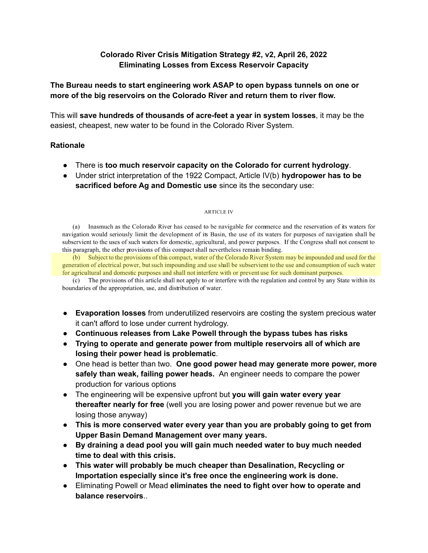# **Colorado River Crisis Mitigation Strategy #2, v2, April 26, 2022 Eliminating Losses from Excess Reservoir Capacity**

# **The Bureau needs to start engineering work ASAP to open bypass tunnels on one or more of the big reservoirs on the Colorado River and return them to river flow.**

This will **save hundreds of thousands of acre-feet a year in system losses**, it may be the easiest, cheapest, new water to be found in the Colorado River System.

# **Rationale**

- There is **too much reservoir capacity on the Colorado for current hydrology**.
- Under strict interpretation of the 1922 Compact, Article IV(b) **hydropower has to be sacrificed before Ag and Domestic use** since its the secondary use:

#### **ARTICLE IV**

(a) Inasmuch as the Colorado River has ceased to be navigable for commerce and the reservation of its waters for navigation would seriously limit the development of its Basin, the use of its waters for purposes of navigation shall be subservient to the uses of such waters for domestic, agricultural, and power purposes. If the Congress shall not consent to this paragraph, the other provisions of this compact shall nevertheless remain binding.

(b) Subject to the provisions of this compact, water of the Colorado River System may be impounded and used for the generation of electrical power, but such impounding and use shall be subservient to the use and consumption of such water for agricultural and domestic purposes and shall not interfere with or prevent use for such dominant purposes.

(c) The provisions of this article shall not apply to or interfere with the regulation and control by any State within its boundaries of the appropriation, use, and distribution of water.

- **Evaporation losses** from underutilized reservoirs are costing the system precious water it can't afford to lose under current hydrology.
- **Continuous releases from Lake Powell through the bypass tubes has risks**
- **Trying to operate and generate power from multiple reservoirs all of which are losing their power head is problematic**.
- One head is better than two. **One good power head may generate more power, more safely than weak, failing power heads.** An engineer needs to compare the power production for various options
- The engineering will be expensive upfront but **you will gain water every year thereafter nearly for free** (well you are losing power and power revenue but we are losing those anyway)
- **This is more conserved water every year than you are probably going to get from Upper Basin Demand Management over many years.**
- **● By draining a dead pool you will gain much needed water to buy much needed time to deal with this crisis.**
- **This water will probably be much cheaper than Desalination, Recycling or Importation especially since it's free once the engineering work is done.**
- Eliminating Powell or Mead **eliminates the need to fight over how to operate and balance reservoirs**..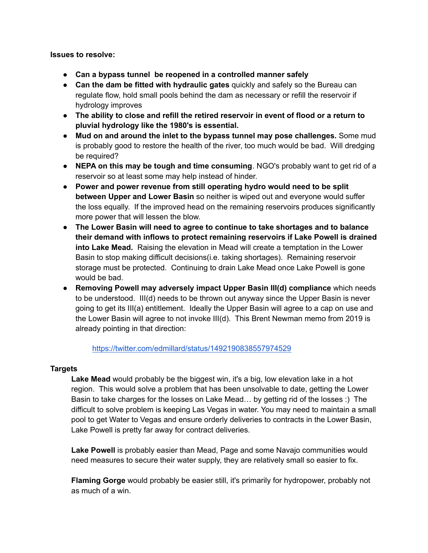### **Issues to resolve:**

- **Can a bypass tunnel be reopened in a controlled manner safely**
- **Can the dam be fitted with hydraulic gates** quickly and safely so the Bureau can regulate flow, hold small pools behind the dam as necessary or refill the reservoir if hydrology improves
- **● The ability to close and refill the retired reservoir in event of flood or a return to pluvial hydrology like the 1980's is essential.**
- **Mud on and around the inlet to the bypass tunnel may pose challenges.** Some mud is probably good to restore the health of the river, too much would be bad. Will dredging be required?
- **NEPA on this may be tough and time consuming**. NGO's probably want to get rid of a reservoir so at least some may help instead of hinder.
- **Power and power revenue from still operating hydro would need to be split between Upper and Lower Basin** so neither is wiped out and everyone would suffer the loss equally. If the improved head on the remaining reservoirs produces significantly more power that will lessen the blow.
- **The Lower Basin will need to agree to continue to take shortages and to balance their demand with inflows to protect remaining reservoirs if Lake Powell is drained into Lake Mead.** Raising the elevation in Mead will create a temptation in the Lower Basin to stop making difficult decisions(i.e. taking shortages). Remaining reservoir storage must be protected. Continuing to drain Lake Mead once Lake Powell is gone would be bad.
- **Removing Powell may adversely impact Upper Basin III(d) compliance** which needs to be understood. III(d) needs to be thrown out anyway since the Upper Basin is never going to get its III(a) entitlement. Ideally the Upper Basin will agree to a cap on use and the Lower Basin will agree to not invoke III(d). This Brent Newman memo from 2019 is already pointing in that direction:

# <https://twitter.com/edmillard/status/1492190838557974529>

# **Targets**

**Lake Mead** would probably be the biggest win, it's a big, low elevation lake in a hot region. This would solve a problem that has been unsolvable to date, getting the Lower Basin to take charges for the losses on Lake Mead… by getting rid of the losses :) The difficult to solve problem is keeping Las Vegas in water. You may need to maintain a small pool to get Water to Vegas and ensure orderly deliveries to contracts in the Lower Basin, Lake Powell is pretty far away for contract deliveries.

**Lake Powell** is probably easier than Mead, Page and some Navajo communities would need measures to secure their water supply, they are relatively small so easier to fix.

**Flaming Gorge** would probably be easier still, it's primarily for hydropower, probably not as much of a win.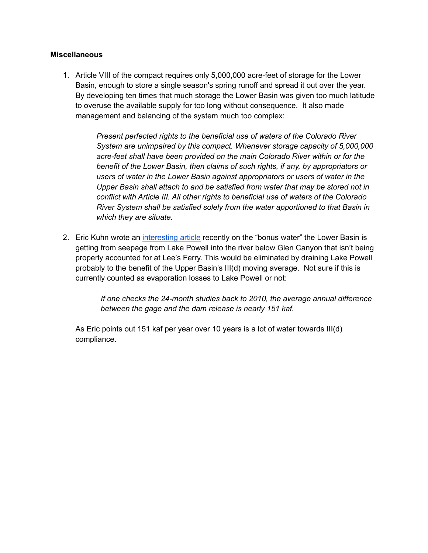# **Miscellaneous**

1. Article VIII of the compact requires only 5,000,000 acre-feet of storage for the Lower Basin, enough to store a single season's spring runoff and spread it out over the year. By developing ten times that much storage the Lower Basin was given too much latitude to overuse the available supply for too long without consequence. It also made management and balancing of the system much too complex:

> *Present perfected rights to the beneficial use of waters of the Colorado River System are unimpaired by this compact. Whenever storage capacity of 5,000,000 acre-feet shall have been provided on the main Colorado River within or for the benefit of the Lower Basin, then claims of such rights, if any, by appropriators or users of water in the Lower Basin against appropriators or users of water in the Upper Basin shall attach to and be satisfied from water that may be stored not in conflict with Article III. All other rights to beneficial use of waters of the Colorado River System shall be satisfied solely from the water apportioned to that Basin in which they are situate.*

2. Eric Kuhn wrote an [interesting](http://www.inkstain.net/fleck/2022/04/time-to-rethink-the-upper-basins-bonus-water-contributions-to-lake-mead/) article recently on the "bonus water" the Lower Basin is getting from seepage from Lake Powell into the river below Glen Canyon that isn't being properly accounted for at Lee's Ferry. This would be eliminated by draining Lake Powell probably to the benefit of the Upper Basin's III(d) moving average. Not sure if this is currently counted as evaporation losses to Lake Powell or not:

> *If one checks the 24-month studies back to 2010, the average annual difference between the gage and the dam release is nearly 151 kaf.*

As Eric points out 151 kaf per year over 10 years is a lot of water towards III(d) compliance.